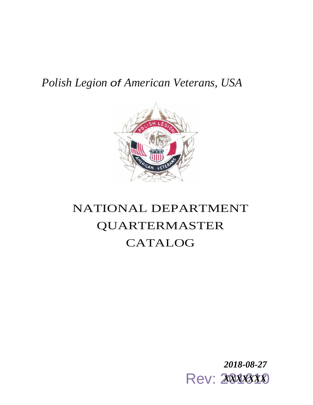## *Polish Legion of American Veterans, USA*



## NATIONAL DEPARTMENT QUARTERMASTER CATALOG

**Rev: 2018310** *2018-08-27*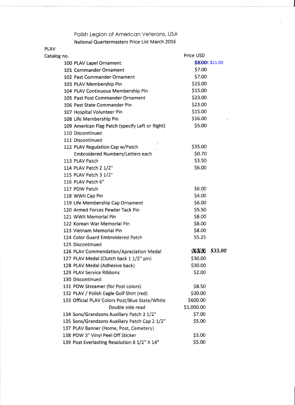## Polish Legion of American Veterans, USA

National Quartermasters Price List March 2016

| <b>PLAV</b> |                                                 |               |                       |
|-------------|-------------------------------------------------|---------------|-----------------------|
| Catalog no. |                                                 | Price USD     |                       |
|             | 100 PLAV Lapel Ornament                         |               | <b>\$8XXX \$11.00</b> |
|             | 101 Commander Ornament                          | \$7.00        |                       |
|             | 102 Past Commander Ornament                     | \$7.00        |                       |
|             | 103 PLAV Membership Pin                         | \$15.00       |                       |
|             | 104 PLAV Continuous Membership Pin              | \$15.00       |                       |
|             | 105 Past Post Commander Ornament                | \$23.00       |                       |
|             | 106 Past State Commander Pin                    | \$23.00       |                       |
|             | 107 Hospital Volunteer Pin                      | \$15.00       |                       |
|             | 108 Life Membership Pin                         | \$16.00       |                       |
|             | 109 American Flag Patch (specify Left or Right) | \$5.00        |                       |
|             | 110 Discontinued                                |               |                       |
|             | 111 Discontinued                                |               |                       |
|             | 112 PLAV Regulation Cap w/Patch                 | \$35.00       |                       |
|             | Embroidered Numbers/Letters each                | \$0.70        |                       |
|             | 113 PLAV Patch                                  | \$3.50        |                       |
|             | 114 PLAV Patch 2 1/2"                           | \$6.00        |                       |
|             | 115 PLAV Patch 3 1/2"                           |               |                       |
|             | 116 PLAV Patch 6"                               |               |                       |
|             | 117 POW Patch                                   | \$6.00        |                       |
|             | 118 WWII Cap Pin                                | \$4.00        |                       |
|             | 119 Life Membership Cap Ornament                | \$6.00        |                       |
|             | 120 Armed Forces Pewter Tack Pin                | \$5.50        |                       |
|             | 121 WWII Memorial Pin                           | \$8.00        |                       |
|             | 122 Korean War Memorial Pin                     | \$8.00        |                       |
|             | 123 Vietnam Memorial Pin                        | \$8.00        |                       |
|             | 124 Color Guard Embroidered Patch               | \$5.25        |                       |
|             | 125 Discontinued                                |               |                       |
|             | 126 PLAV Commendation/Apreciation Medal         | <b>SYEKOK</b> | \$33.00               |
|             | 127 PLAV Medal (Clutch back 1 1/2" pin)         | \$30.00       |                       |
|             | 128 PLAV Medal (Adhesive back)                  | \$30.00       |                       |
|             | 129 PLAV Service Ribbons                        | \$2.00        |                       |
|             | 130 Discontinued                                |               |                       |
|             | 131 POW Streamer (for Post colors)              | \$8.50        |                       |
|             | 132 PLAV / Polish Eagle Golf Shirt (red)        | \$30.00       |                       |
|             | 133 Official PLAV Colors Post/Blue State/White  | \$600.00      |                       |
|             | Double side read                                | \$1,000.00    |                       |
|             | 134 Sons/Grandsons Auxiliary Patch 3 1/2"       | \$7.00        |                       |
|             | 135 Sons/Grandsons Auxiliary Patch Cap 2 1/2"   | \$5.00        |                       |
|             | 137 PLAV Banner (Home, Post, Cemetery)          |               |                       |
|             | 138 POW 3" Vinyl Peel Off Sticker               | \$3.00        |                       |
|             | 139 Post Everlasting Resolution 8 1/2" X 14"    | \$5.00        |                       |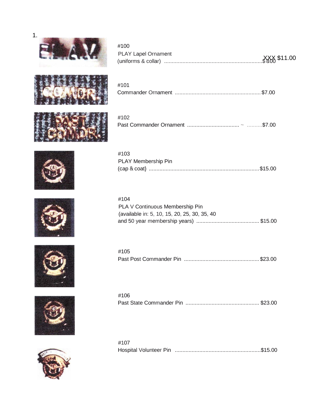

#100

#101

#103

PLAY Membership Pin



| <b>PLAY Lapel Ornament</b> |  |  |
|----------------------------|--|--|
|                            |  |  |
|                            |  |  |



| #102 |  |
|------|--|
|      |  |

Commander Ornament ........................................................ \$7.00







(cap & coat} ........................................................................\$15.00

#105 Past Post Commander Pin ................................................. \$23.00

| #106 |  |
|------|--|
|      |  |
|      |  |

#107 Hospital Volunteer Pin ........................................................\$15.00





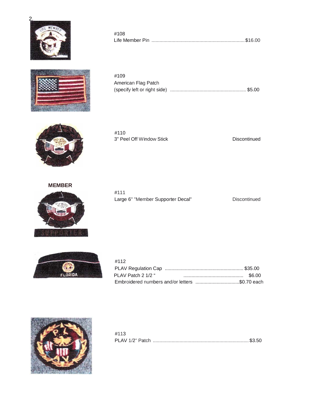



American Flag Patch (specify left or right side) ......................................................... \$5.00

Life Member Pin ......................................................................\$16.00



#110 3" Peel Off Window Stick Discontinued

#108

#109

**MEMBER** 



#111 Large 6" "Member Supporter Decal" Discontinued



| #112                                           |  |
|------------------------------------------------|--|
|                                                |  |
| PLAV Patch 2 1/2 "                             |  |
| Embroidered numbers and/or letters \$0.70 each |  |



| #113 |  |
|------|--|
|      |  |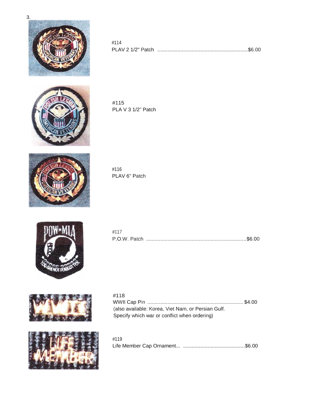

| #114 |  |
|------|--|
|      |  |



#115 PLA V 3 1/2" Patch



#116 PLAV 6" Patch



| #117 |  |
|------|--|
|      |  |





| #118                                                |  |
|-----------------------------------------------------|--|
|                                                     |  |
| (also available: Korea, Viet Nam, or Persian Gulf.) |  |
| Specify which war or conflict when ordering)        |  |

| #119 |  |
|------|--|
|      |  |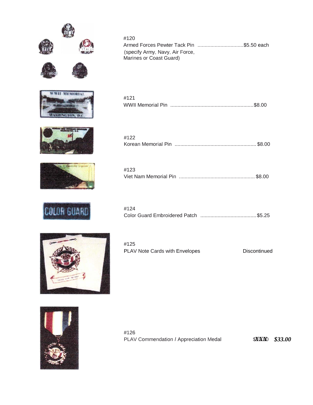













| #120                            |  |
|---------------------------------|--|
|                                 |  |
| (specify Army, Navy, Air Force, |  |
| Marines or Coast Guard)         |  |

| #121 |  |
|------|--|
|      |  |

| #122 |  |
|------|--|
|      |  |

| #123 |  |
|------|--|
|      |  |

| #124 |  |
|------|--|
|      |  |

| #125                           |              |
|--------------------------------|--------------|
| PLAV Note Cards with Envelopes | Discontinued |



#126 PLAV Commendation / Appreciation Medal

*XXX \$33.00*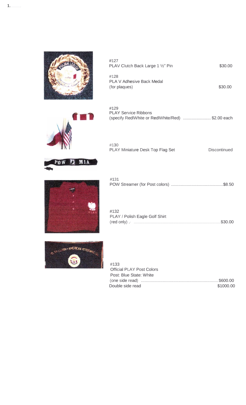

| #127<br>PLAV Clutch Back Large 1 1/2" Pin | \$30.00 |
|-------------------------------------------|---------|
| #128                                      |         |
| PLA V Adhesive Back Medal                 |         |
| (for plaques)                             | \$30.00 |

#129 PLAY Service Ribbons (specify RedlWhite or RedlWhite/Red) ....................... \$2.00 each



| #130                             |                     |
|----------------------------------|---------------------|
| PLAY Miniature Desk Top Flag Set | <b>Discontinued</b> |





| #131 |  |
|------|--|
|      |  |
|      |  |

| #132                                   |  |
|----------------------------------------|--|
| PLAY / Polish Eagle Golf Shirt         |  |
| $(\text{red only})$ . $\ldots$ \$30.00 |  |



| #133                             |           |
|----------------------------------|-----------|
| <b>Official PLAY Post Colors</b> |           |
| Post: Blue State: White          |           |
|                                  |           |
| Double side read                 | \$1000.00 |

 $1.$   $-$